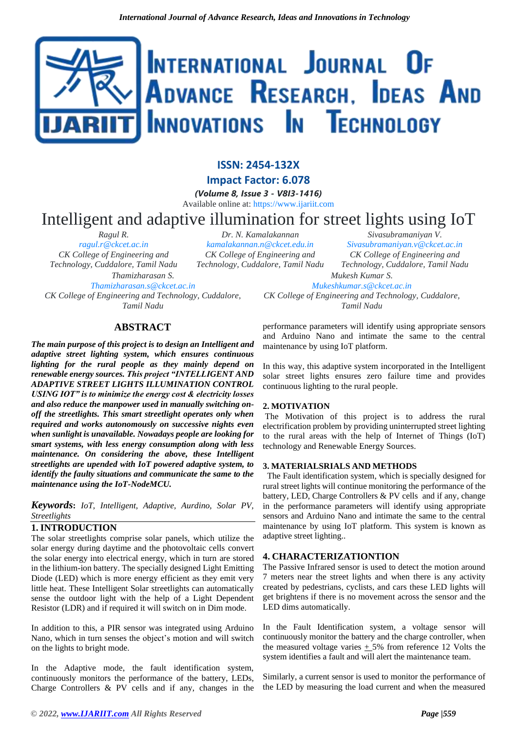# INTERNATIONAL JOURNAL OF ADVANCE RESEARCH, IDEAS AND INNOVATIONS IN TECHNOLOGY

# **ISSN: 2454-132X Impact Factor: 6.078**

*(Volume 8, Issue 3 - V8I3-1416)*

Available online at: [https://www.ijariit.com](https://www.ijariit.com/?utm_source=pdf&utm_medium=edition&utm_campaign=OmAkSols&utm_term=V8I3-1416)

# Intelligent and adaptive illumination for street lights using IoT *Dr. N. Kamalakannan*

*[kamalakannan.n@ckcet.edu.in](mailto:kamalakannan.n@ckcet.edu.in) CK College of Engineering and* 

*Ragul R. [ragul.r@ckcet.ac.in](mailto:ragul.r@ckcet.ac.in) CK College of Engineering and Technology, Cuddalore, Tamil Nadu Thamizharasan S. [Thamizharasan.s@ckcet.ac.in](mailto:Thamizharasan.s@ckcet.ac.in)*

*CK College of Engineering and Technology, Cuddalore, Tamil Nadu*

*Technology, Cuddalore, Tamil Nadu Sivasubramaniyan V. [Sivasubramaniyan.v@ckcet.ac.in](mailto:Sivasubramaniyan.v@ckcet.ac.in) CK College of Engineering and Technology, Cuddalore, Tamil Nadu Mukesh Kumar S. [Mukeshkumar.s@ckcet.ac.in](mailto:Mukeshkumar.s@ckcet.ac.in)*

*CK College of Engineering and Technology, Cuddalore, Tamil Nadu*

## **ABSTRACT**

*The main purpose of this project is to design an Intelligent and adaptive street lighting system, which ensures continuous lighting for the rural people as they mainly depend on renewable energy sources. This project "INTELLIGENT AND ADAPTIVE STREET LIGHTS ILLUMINATION CONTROL USING IOT" is to minimize the energy cost & electricity losses and also reduce the manpower used in manually switching onoff the streetlights. This smart streetlight operates only when required and works autonomously on successive nights even when sunlight is unavailable. Nowadays people are looking for smart systems, with less energy consumption along with less maintenance. On considering the above, these Intelligent streetlights are upended with IoT powered adaptive system, to identify the faulty situations and communicate the same to the maintenance using the IoT-NodeMCU.*

*Keywords***:** *IoT, Intelligent, Adaptive, Aurdino, Solar PV, Streetlights* 

#### **1. INTRODUCTION**

The solar streetlights comprise solar panels, which utilize the solar energy during daytime and the photovoltaic cells convert the solar energy into electrical energy, which in turn are stored in the lithium-ion battery. The specially designed Light Emitting Diode (LED) which is more energy efficient as they emit very little heat. These Intelligent Solar streetlights can automatically sense the outdoor light with the help of a Light Dependent Resistor (LDR) and if required it will switch on in Dim mode.

In addition to this, a PIR sensor was integrated using Arduino Nano, which in turn senses the object's motion and will switch on the lights to bright mode.

In the Adaptive mode, the fault identification system, continuously monitors the performance of the battery, LEDs, Charge Controllers & PV cells and if any, changes in the performance parameters will identify using appropriate sensors and Arduino Nano and intimate the same to the central maintenance by using IoT platform.

In this way, this adaptive system incorporated in the Intelligent solar street lights ensures zero failure time and provides continuous lighting to the rural people.

#### **2. MOTIVATION**

The Motivation of this project is to address the rural electrification problem by providing uninterrupted street lighting to the rural areas with the help of Internet of Things (IoT) technology and Renewable Energy Sources.

#### **3. MATERIALSRIALS AND METHODS**

The Fault identification system, which is specially designed for rural street lights will continue monitoring the performance of the battery, LED, Charge Controllers & PV cells and if any, change in the performance parameters will identify using appropriate sensors and Arduino Nano and intimate the same to the central maintenance by using IoT platform. This system is known as adaptive street lighting..

#### **4. CHARACTERIZATIONTION**

The Passive Infrared sensor is used to detect the motion around 7 meters near the street lights and when there is any activity created by pedestrians, cyclists, and cars these LED lights will get brightens if there is no movement across the sensor and the LED dims automatically.

In the Fault Identification system, a voltage sensor will continuously monitor the battery and the charge controller, when the measured voltage varies  $+5\%$  from reference 12 Volts the system identifies a fault and will alert the maintenance team.

Similarly, a current sensor is used to monitor the performance of the LED by measuring the load current and when the measured